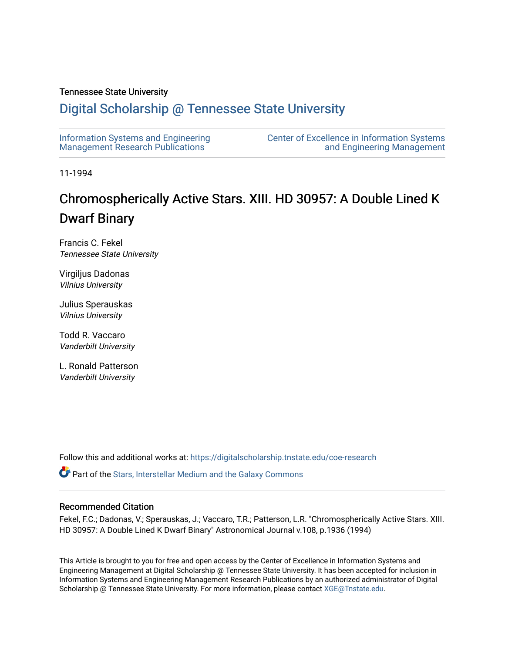# Tennessee State University

# [Digital Scholarship @ Tennessee State University](https://digitalscholarship.tnstate.edu/)

| Information Systems and Engineering     | <b>Center of Excellence in Information Systems</b> |
|-----------------------------------------|----------------------------------------------------|
| <b>Management Research Publications</b> | and Engineering Management                         |

11-1994

# Chromospherically Active Stars. XIII. HD 30957: A Double Lined K Dwarf Binary

Francis C. Fekel Tennessee State University

Virgiljus Dadonas Vilnius University

Julius Sperauskas Vilnius University

Todd R. Vaccaro Vanderbilt University

L. Ronald Patterson Vanderbilt University

Follow this and additional works at: [https://digitalscholarship.tnstate.edu/coe-research](https://digitalscholarship.tnstate.edu/coe-research?utm_source=digitalscholarship.tnstate.edu%2Fcoe-research%2F332&utm_medium=PDF&utm_campaign=PDFCoverPages) 

**P** Part of the Stars, Interstellar Medium and the Galaxy Commons

## Recommended Citation

Fekel, F.C.; Dadonas, V.; Sperauskas, J.; Vaccaro, T.R.; Patterson, L.R. "Chromospherically Active Stars. XIII. HD 30957: A Double Lined K Dwarf Binary" Astronomical Journal v.108, p.1936 (1994)

This Article is brought to you for free and open access by the Center of Excellence in Information Systems and Engineering Management at Digital Scholarship @ Tennessee State University. It has been accepted for inclusion in Information Systems and Engineering Management Research Publications by an authorized administrator of Digital Scholarship @ Tennessee State University. For more information, please contact [XGE@Tnstate.edu](mailto:XGE@Tnstate.edu).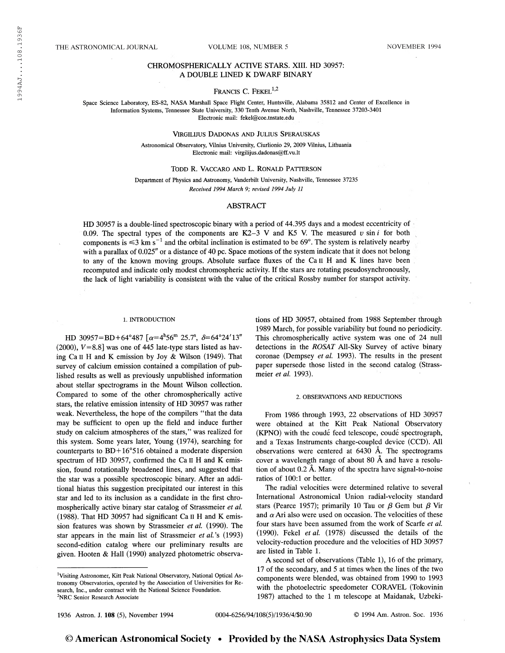### THE ASTRONOMICAL JOURNAL VOLUME 108, NUMBER 5 NOVEMBER 1994

### CHROMOSPHERICALLY ACTIVE STARS. XIII. HD 30957: A DOUBLE LINED K DWARF BINARY

# FRANCIS C. FEKEL<sup>1,2</sup>

Space Science Laboratory, ES-82, NASA Marshall Space Flight Center, Huntsville, Alabama 35812 and Center of Excellence in Information Systems, Tennessee State University, 330 Tenth Avenue North, Nashville, Tennessee 37203-3401 Electronic mail: fekel@coe.tnstate.edu

#### VlRGILIJUS DADONAS AND JULIUS SPERAUSKAS

Astronomical Observatory, Vilnius University, Ciurlionio 29, 2009 Vilnius, Lithuania Electronic mail: virgilijus.dadonas@ff.vu.lt

Todd R. Vaccaro and L. Ronald Patterson

Department of Physics and Astronomy, Vanderbilt University, Nashville, Tennessee 37235 Received 1994 March 9; revised 1994 July 11

#### ABSTRACT

HD 30957 is a double-lined spectroscopic binary with a period of 44.395 days and a modest eccentricity of 0.09. The spectral types of the components are K2-3 V and K5 V. The measured  $v \sin i$  for both 0.09. The spectral types of the components are  $K2-3$  v and  $K5$  v. The measured v sin t for both components is  $\leq 3$  km s<sup>-1</sup> and the orbital inclination is estimated to be 69°. The system is relatively nearby with a parallax of 0.025" or a distance of 40 pc. Space motions of the system indicate that it does not belong to any of the known moving groups. Absolute surface fluxes of the Ca II H and K lines have been recomputed and indicate only modest chromospheric activity. If the stars are rotating pseudosynchronously, the lack of light variability is consistent with the value of the critical Rossby number for starspot activity.

#### 1. INTRODUCTION

HD 30957=BD+64°487 [ $\alpha$ =4<sup>h</sup>56<sup>m</sup> 25.7<sup>s</sup>,  $\delta$ =64°24'13" (2000),  $V=8.8$ ] was one of 445 late-type stars listed as having Ca il H and K emission by Joy & Wilson (1949). That survey of calcium emission contained a compilation of published results as well as previously unpublished information about stellar spectrograms in the Mount Wilson collection. Compared to some of the other chromospherically active stars, the relative emission intensity of HD 30957 was rather weak. Nevertheless, the hope of the compilers "that the data may be sufficient to open up the field and induce further study on calcium atmospheres of the stars," was realized for this system. Some years later, Young (1974), searching for counterparts to BD+16°516 obtained a moderate dispersion spectrum of HD 30957, confirmed the Ca II H and K emission, found rotationally broadened lines, and suggested that the star was a possible spectroscopic binary. After an additional hiatus this suggestion precipitated our interest in this star and led to its inclusion as a candidate in the first chromospherically active binary star catalog of Strassmeier et al. (1988). That HD 30957 had significant Ca il H and K emission features was shown by Strassmeier et al. (1990). The star appears in the main list of Strassmeier et al.'s (1993) second-edition catalog where our preliminary results are given. Hooten & Hall (1990) analyzed photometric observations of HD 30957, obtained from 1988 September through 1989 March, for possible variability but found no periodicity. This chromospherically active system was one of 24 null detections in the ROSAT All-Sky Survey of active binary coronae (Dempsey et al. 1993). The results in the present paper supersede those listed in the second catalog (Strassmeier et al. 1993).

#### 2. OBSERVATIONS AND REDUCTIONS

From 1986 through 1993, 22 observations of HD 30957 were obtained at the Kitt Peak National Observatory (KPNO) with the coudé feed telescope, coudé spectrograph, and a Texas Instruments charge-coupled device (CCD). All observations were centered at 6430 Â. The spectrograms cover a wavelength range of about 80 Â and have a resolution of about 0.2 A. Many of the spectra have signal-to-noise ratios of 100:1 or better.

The radial velocities were determined relative to several International Astronomical Union radial-velocity standard stars (Pearce 1957); primarily 10 Tau or  $\beta$  Gem but  $\beta$  Vir and  $\alpha$  Ari also were used on occasion. The velocities of these four stars have been assumed from the work of Scarfe et al. (1990). Fekel et al. (1978) discussed the details of the velocity-reduction procedure and the velocities of HD 30957 are listed in Table 1.

A second set of observations (Table 1), 16 of the primary, 17 of the secondary, and 5 at times when the lines of the two components were blended, was obtained from 1990 to 1993 with the photoelectric speedometer CORAVEL (Tokovinin 1987) attached to the 1 m telescope at Maidanak, Uzbeki-

1936 Astron. J. 108 (5), November 1994

<sup>&</sup>lt;sup>1</sup>Visiting Astronomer, Kitt Peak National Observatory, National Optical Astronomy Observatories, operated by the Association of Universities for Research, Inc., under contract with the National Science Foundation.<br><sup>2</sup>NRC Senior Research Associate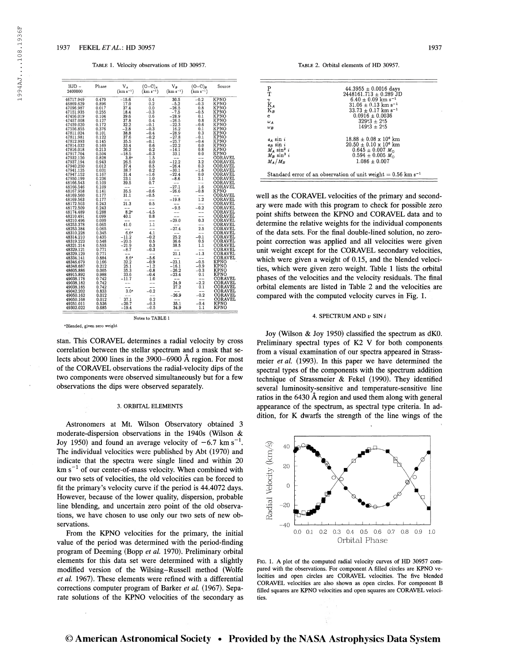#### Table 1. Velocity observations of HD 30957. Table 2. Orbital elements of HD 30957.

| $HJD -$   | Phase | $V_A$            | $(O-C)_{A}$       | $V_B$              | $(O-C)_B$                                                                                                   | Source         |
|-----------|-------|------------------|-------------------|--------------------|-------------------------------------------------------------------------------------------------------------|----------------|
| 2400000   |       | $(km s^{-1})$    | $(km s^{-1})$     | $(km s^{-1})$      | $(km s^{-1})$                                                                                               |                |
|           |       |                  |                   |                    |                                                                                                             |                |
| 46717.949 | 0.479 | $-15.6$          | 0.4               | 30.5               | $-0.2$                                                                                                      | KPNO           |
| 46869.629 | 0.896 | 17.0             | 0.2               | $-5.2$             | $-0.3$                                                                                                      | KPNO           |
| 47096.987 | 0.017 | 37.4             | 0.0               | $-26.5$            | 0.8                                                                                                         | KPNO           |
| 47151.935 | 0.255 | 18.4             | $-0.3$            | $-7.5$             | $-0.5$                                                                                                      | <b>KPNO</b>    |
| 47456.019 | 0.104 | 39.6             | 0.6               | $-28.9$            | 0.1                                                                                                         | KPNO           |
| 47457.008 | 0.127 | 37.8             | 0.4               | $-26.5$            | 0.8                                                                                                         | KPNO           |
| 47459.020 | 0.172 | 32.2             | $-0.1$            | $-22.3$            | $-0.6$                                                                                                      | KPNO           |
| 47556.855 | 0.376 | $-2.8$           | $-0.3$            | 16.2               | 0.1                                                                                                         | KPNO           |
| 47811.024 | 0.101 | 38.8             | $-0.4$            | $-28.9$            | 0.3                                                                                                         | KPNO           |
| 47811.981 | 0.122 | 37.6             | $-0.2$            | $-27.8$            | $-0.1$                                                                                                      | KPNO           |
| 47812.993 | 0.145 | 35.5             | $-0.1$            | $-25.7$            | $-0.4$                                                                                                      | KPNO           |
| 47814.032 | 0.169 | 33.4             | 0.6               | $-22.2$            | 0.0                                                                                                         | KPNO           |
| 47816.018 | 0.213 | 26.2             | 0.2               | $-14.1$            | 0.8                                                                                                         | KPNO           |
| 47917.704 | 0.504 | $-18.5$          | $-0.3$            | 33.1               | 0.0                                                                                                         | KPNO           |
| 47932.120 | 0.828 | 3.8°             | 1.5               |                    | --                                                                                                          | CORAVEL        |
| 47937.194 | 0.943 | 26.5             | 0.0               | $-12.2$            | 3.2                                                                                                         | CORAVEL        |
| 47940.250 | 0.012 | 37.4             | 0.5               | $-26.4$            | 0.3                                                                                                         | CORAVEL        |
| 47941.125 | 0.031 | 38.7             | 0.2               | $-30.1$            | $-1.6$                                                                                                      | CORAVEL        |
| 47947.152 | 0.167 | 31.4             | $-1.6$            | $-22.4$            | 0.0                                                                                                         | CORAVEL        |
| 47950.199 | 0.236 | 23.1             | 1.0               | $-8.6$             | 2.1                                                                                                         | CORAVEL        |
| 48166.543 | 0.109 | 39.5             | 0.7               |                    | $\overline{1.6}$                                                                                            | CORAVEL        |
| 48166.546 | 0.109 |                  |                   | $-27.1$<br>$-26.6$ |                                                                                                             | CORAVEL        |
| 48167.958 | 0.141 | 35.5             | $-0.6$            |                    | $-0.8$                                                                                                      | KPNO           |
| 48169.560 | 0.177 | 31.1             | $-0.5$            | $-19.8$            | $\overline{1.2}$                                                                                            | CORAVEL        |
| 48169.563 | 0.177 |                  | $\overline{0.5}$  |                    |                                                                                                             | CORAVEL        |
| 48172.503 | 0.243 | 21.3             |                   |                    | --                                                                                                          | CORAVEL        |
| 48172.509 | 0.243 |                  | $-\bar{4.5}$      | $-9.5$             | $-0.2$                                                                                                      | CORAVEL        |
| 48174.489 | 0.288 | 8.2°             |                   |                    |                                                                                                             | CORAVEL        |
| 48210.491 | 0.099 | 40.1             | 0.8               |                    | $-1$                                                                                                        | CORAVEL        |
| 48210.496 | 0.099 |                  | $\overline{1.1}$  | $-29.0$            | 0.3                                                                                                         | CORAVEL        |
| 48253.378 | 0.065 | 41.0             |                   |                    | $\frac{1}{2.5}$                                                                                             | CORAVEL        |
| 48253.384 | 0.065 |                  | $\frac{1}{4.1}$   | $-27.4$            |                                                                                                             | CORAVEL        |
| 48310.228 | 0.345 | 6.6°             |                   |                    | $-$                                                                                                         | CORAVEL        |
| 48314.210 | 0.435 | $-11.2$          | $-0.2$            | 25.2               | $-0.1$                                                                                                      | CORAVEL        |
| 48319.223 | 0.548 | $-20.5$          | $\frac{0.5}{0.3}$ | 36.6               | 0.5                                                                                                         | CORAVEL        |
| 48321.214 | 0.593 | $-21.9$          |                   | 38.5               | 1.1                                                                                                         | CORAVEL        |
| 48329.121 | 0.771 | $-8.7$           | $-0.3$            | $\bar{21.1}$       | $-\overline{1.3}$                                                                                           | CORAVEL        |
| 48329.129 | 0.771 |                  |                   |                    |                                                                                                             | CORAVEL        |
| 48334.141 | 0.884 | 8.6°             | $-5.6$            |                    |                                                                                                             | CORAVEL        |
| 48346.679 | 0.166 | 32.2             | $-0.9$            | $-23.1$            | $-0.5$                                                                                                      | KPNO           |
| 48348.687 | 0.212 | 25.1             | $-1.2$            | $-16.1$            | $-0.9$                                                                                                      | <b>KPNO</b>    |
| 48605.886 | 0.005 | 35.3             | $-0.8$            | $-26.2$<br>$-23.4$ | $-0.3$                                                                                                      | KPNO           |
| 48915.892 | 0.988 | 33.6             | $-0.4$            |                    | 0.1                                                                                                         | KPNO           |
| 49038.178 | 0.742 | -11.7            | 1.0               |                    | $-\overline{\mathstrut 2.2\phantom{0}} \phantom{-0.2} -\overline{\mathstrut 2.2\phantom{0}} \phantom{-0.2}$ | CORAVEL        |
| 49038.182 | 0.742 |                  |                   | 24.9               |                                                                                                             | <b>CORAVEL</b> |
| 49038.185 | 0.742 |                  |                   | 27.2               |                                                                                                             | <b>CORAVEL</b> |
| 49042.202 | 0.833 | 3.0 <sup>a</sup> | $-0.2$            |                    | $-1$                                                                                                        | CORAVEL        |
| 49050.162 | 0.012 |                  |                   | $-26.9$            | $-0.2$                                                                                                      | CORAVEL        |
| 49050.168 | 0.012 | 37.1             | 0.2               |                    | $-$                                                                                                         | CORAVEL        |
| 49251.011 | 0.536 | $-20.7$          | $-0.3$            | 35.1               | $-0.4$                                                                                                      | KPNO           |
| 49302.022 | 0.685 | -19.4            | $^{-0.5}$         | 34.9               | 1.1                                                                                                         | KPNO           |
|           |       |                  |                   |                    |                                                                                                             |                |

"Blended, given zero weight

stan. This CORAVEL determines a radial velocity by cross correlation between the stellar spectrum and a mask that selects about 2000 lines in the 3900-6900 Â region. For most of the CORAVEL observations the radial-velocity dips of the two components were observed simultaneously but for a few observations the dips were observed separately.

Notes to TABLE <sup>1</sup>

#### 3. ORBITAL ELEMENTS

Astronomers at Mt. Wilson Observatory obtained 3 moderate-dispersion observations in the 1940s (Wilson & moderate-dispersion observations in the 1940s (Wilson & Joy 1950) and found an average velocity of  $-6.7 \text{ km s}^{-1}$ . The individual velocities were published by Abt (1970) and indicate that the spectra were single lined and within 20  $km s<sup>-1</sup>$  of our center-of-mass velocity. When combined with our two sets of velocities, the old velocities can be forced to fit the primary's velocity curve if the period is 44.4072 days. However, because of the lower quality, dispersion, probable line blending, and uncertain zero point of the old observations, we have chosen to use only our two sets of new observations.

From the KPNO velocities for the primary, the initial value of the period was determined with the period-finding program of Deeming (Bopp et al. 1970). Preliminary orbital elements for this data set were determined with a slightly modified version of the Wilsing-Russell method (Wolfe et al. 1967). These elements were refined with a differential corrections computer program of Barker et al. (1967). Separate solutions of the KPNO velocities of the secondary as

| $_{\rm T}^{\rm P}$<br>$\operatorname*{K}_{\mathbf{K}_{B}}^{\gamma}$<br>e | $44.3955 \pm 0.0016$ days<br>$2448161.713 \pm 0.289$ JD<br>$6.40 \pm 0.09$ km s <sup>-1</sup><br>$31.06 + 0.13$ km s <sup>-1</sup><br>$33.73 \pm 0.17$ km s <sup>-1</sup><br>$0.0916 \pm 0.0036$ |
|--------------------------------------------------------------------------|--------------------------------------------------------------------------------------------------------------------------------------------------------------------------------------------------|
|                                                                          |                                                                                                                                                                                                  |
|                                                                          |                                                                                                                                                                                                  |
|                                                                          |                                                                                                                                                                                                  |
|                                                                          |                                                                                                                                                                                                  |
|                                                                          |                                                                                                                                                                                                  |
| $\omega_A$                                                               | $329.3 \pm 2.5$                                                                                                                                                                                  |
| $\omega_B$                                                               | $149.3 + 2.5$                                                                                                                                                                                    |
| $a_A \sin i$                                                             | $18.88 + 0.08 \times 10^6$ km                                                                                                                                                                    |
| $a_B \sin i$                                                             | $20.50 \pm 0.10 \times 10^6$ km                                                                                                                                                                  |
| $M_A \sin^3 i$                                                           | $0.645 \pm 0.007$ M <sub>o</sub>                                                                                                                                                                 |
| $M_R$ sin <sup>3</sup> i                                                 | $0.594 \pm 0.005$ $M_{\odot}$                                                                                                                                                                    |
| $M_A/M_B$                                                                | $1.086 + 0.007$                                                                                                                                                                                  |

well as the CORAVEL velocities of the primary and secondary were made with this program to check for possible zero point shifts between the KPNO and CORAVEL data and to determine the relative weights for the individual components of the data sets. For the final double-lined solution, no zeropoint correction was applied and all velocities were given unit weight except for the CORAVEL secondary velocities, which were given a weight of 0.15, and the blended velocities, which were given zero weight. Table 1 lists the orbital phases of the velocities and the velocity residuals. The final orbital elements are listed in Table 2 and the velocities are compared with the computed velocity curves in Fig. 1.

#### 4. SPECTRUM AND  $v$  SIN  $i$

Joy (Wilson & Joy 1950) classified the spectrum as dKO. Preliminary spectral types of K2 V for both components from a visual examination of our spectra appeared in Strassmeier et al. (1993). In this paper we have determined the spectral types of the components with the spectrum addition technique of Strassmeier & Fekel (1990). They identified several luminosity-sensitive and temperature-sensitive line ratios in the 6430 Â region and used them along with general appearance of the spectrum, as spectral type criteria. In addition, for K dwarfs the strength of the line wings of the



Fig. 1. A plot of the computed radial velocity curves of HD 30957 compared with the observations. For component A filled circles are KPNO velocities and open circles are CORAVEL velocities. The five blended CORAVEL velocities are also Shown as Open circles. For component B filled squares are KPNO velocities and open squares are CORAVEL velocities.

### © American Astronomical Society • Provided by the NASA Astrophysics Data System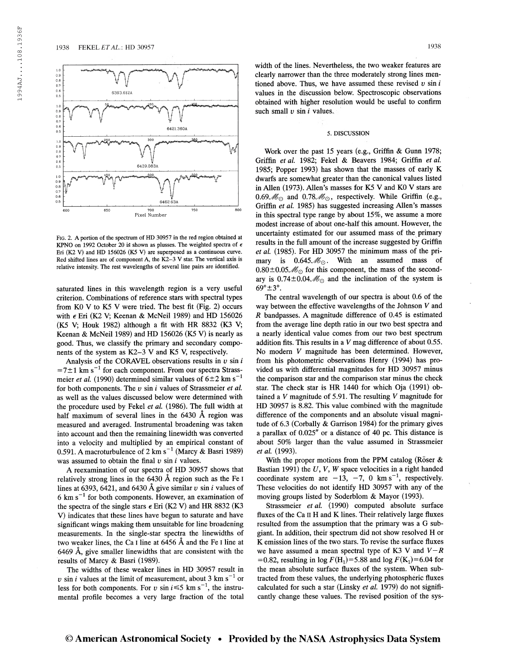

Fig. 2. A portion of the spectrum of HD 30957 in the red region obtained at KPNO on 1992 October 20 is shown as plusses. The weighted spectra of  $\epsilon$ Eri (K2 V) and HD 156026 (K5 V) are superposed as a continuous curve. Red shifted lines are of component A, the K2-3 V star. The vertical axis is relative intensity. The rest wavelengths of several line pairs are identified.

saturated lines in this wavelength region is a very useful criterion. Combinations of reference stars with spectral types from KO V to K5 V were tried. The best fit (Fig. 2) occurs with  $\epsilon$  Eri (K2 V; Keenan & McNeil 1989) and HD 156026 (K5 V; Houk 1982) although a fit with HR 8832 (K3 V; Keenan & McNeil 1989) and HD 156026 (K5 V) is nearly as good. Thus, we classify the primary and secondary components of the system as K2-3 V and K5 V, respectively.

Analysis of the CORAVEL observations results in  $v \sin i$  $=7\pm1$  km s<sup> $-1$ </sup> for each component. From our spectra Strass- $=$ / $\pm$ 1 km s  $\pm$  for each component. From our spectra Strass-<br>meier *et al.* (1990) determined similar values of 6 $\pm$ 2 km s<sup>-1</sup> for both components. The  $v \sin i$  values of Strassmeier et al. as well as the values discussed below were determined with the procedure used by Fekel et al. (1986). The full width at half maximum of several lines in the 6430 Â region was measured and averaged. Instrumental broadening was taken into account and then the remaining linewidth was converted into a velocity and multiplied by an empirical constant of into a velocity and multiplied by an empirical constant of<br>0.591. A macroturbulence of 2 km s<sup>-1</sup> (Marcy & Basri 1989) was assumed to obtain the final  $v \sin i$  values.

A reexamination of our spectra of HD 30957 shows that relatively strong lines in the 6430 A region such as the Fe <sup>I</sup> lines at 6393, 6421, and 6430 Å give similar v sin i values of  $6 \text{ km s}^{-1}$  for both components. However, an examination of the spectra of the single stars  $\epsilon$  Eri (K2 V) and HR 8832 (K3 V) indicates that these lines have begun to saturate and have significant wings making them unsuitable for line broadening measurements. In the single-star spectra the linewidths of two weaker lines, the Ca <sup>I</sup> line at 6456 À and the Fe I line at 6469 Â, give smaller linewidths that are consistent with the results of Marcy & Basri (1989).

The widths of these weaker lines in HD 30957 result in v sin i values at the limit of measurement, about 3  $km s^{-1}$  or v sin t values at the firm of measurement, about 5 km s of less for both components. For v sin  $i \le 5$  km s<sup>-1</sup>, the instrumental profile becomes a very large fraction of the total width of the lines. Nevertheless, the two weaker features are clearly narrower than the three moderately strong lines mentioned above. Thus, we have assumed these revised  $v \sin i$ values in the discussion below. Spectroscopic observations obtained with higher resolution would be useful to confirm such small  $v \sin i$  values.

#### 5. DISCUSSION

Work over the past 15 years (e.g., Griffin & Gunn 1978; Griffin et al. 1982; Fekel & Beavers 1984; Griffin et al. 1985; Popper 1993) has shown that the masses of early K dwarfs are somewhat greater than the canonical values listed in Allen (1973). Allen's masses for K5 V and KO V stars are  $0.69\mathcal{M}_{\odot}$  and  $0.78\mathcal{M}_{\odot}$ , respectively. While Griffin (e.g., Griffin et al. 1985) has suggested increasing Allen's masses in this spectral type range by about 15%, we assume a more modest increase of about one-half this amount. However, the uncertainty estimated for our assumed mass of the primary results in the full amount of the increase suggested by Griffin et al. (1985). For HD 30957 the minimum mass of the primary is  $0.645\mathcal{M}_{\odot}$ . With an assumed mass of  $0.80 \pm 0.05 \mathcal{M}_{\odot}$  for this component, the mass of the secondary is  $0.74\pm0.04\mathcal{M}_{\odot}$  and the inclination of the system is  $69^{\circ}$  $\pm$ 3°.

The central wavelength of our spectra is about 0.6 of the way between the effective wavelengths of the Johnson V and R bandpasses. A magnitude difference of 0.45 is estimated from the average line depth ratio in our two best spectra and a nearly identical value comes from our two best spectrum addition fits. This results in a  $V$  mag difference of about 0.55. No modem V magnitude has been determined. However, from his photometric observations Henry (1994) has provided us with differential magnitudes for HD 30957 minus the comparison star and the comparison star minus the check star. The check star is HR 1440 for which Oja (1991) obtained a V magnitude of 5.91. The resulting V magnitude for HD 30957 is 8.82. This value combined with the magnitude difference of the components and an absolute visual magnitude of 6.3 (Corbally & Garrison 1984) for the primary gives a parallax of 0.025" or a distance of 40 pc. This distance is about 50% larger than the value assumed in Strassmeier et al. (1993).

With the proper motions from the PPM catalog (Röser & Bastian 1991) the  $U, V, W$  space velocities in a right handed coordinate system are  $-13$ ,  $-7$ , 0 km s<sup>-1</sup>, respectively. These velocities do not identify HD 30957 with any of the moving groups listed by Soderblom & Mayor (1993).

Strassmeier et al. (1990) computed absolute surface fluxes of the Ca II H and K lines. Their relatively large fluxes resulted from the assumption that the primary was a G subgiant. In addition, their spectrum did not show resolved H or K emission lines of the two stars. To revise the surface fluxes we have assumed a mean spectral type of K3 V and  $V-R$ =0.82, resulting in log  $F(H_1)$ =5.88 and log  $F(K_1)$ =6.04 for the mean absolute surface fluxes of the system. When subtracted from these values, the underlying photosphêric fluxes calculated for such a star (Linsky et al. 1979) do not significantly change these values. The revised position of the sys